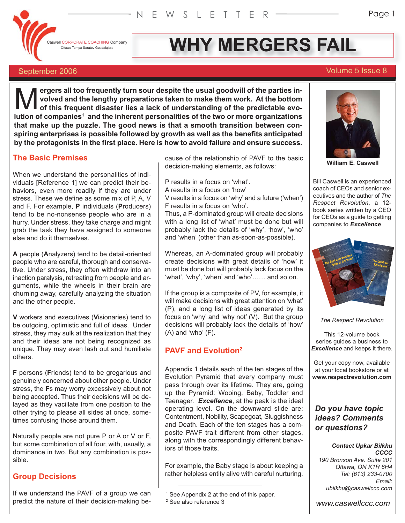**Caswell CORPORATE COACHING Company** 

# **OTEPORATE COACHING Company WHY MERGERS FAIL**

#### September 2006 Volume 5 Issue 8

**ergers all too frequently turn sour despite the usual goodwill of the parties involved and the lengthy preparations taken to make them work. At the bottom of this frequent disaster lies a lack of understanding of the predictable evolacksom of the inherent personalities in-** work at the parties in-<br> **of this frequent disaster lies a lack of understanding of the predictable evo-<br>
lution of companies<sup>1</sup> and the inherent personalities of the two or more that make up the puzzle. The good news is that a smooth transition between conspiring enterprises is possible followed by growth as well as the benefits anticipated by the protagonists in the first place. Here is how to avoid failure and ensure success.**

#### **The Basic Premises**

When we understand the personalities of individuals [Reference 1] we can predict their behaviors, even more readily if they are under stress. These we define as some mix of P, A, V and F. For example, **P** individuals (**P**roducers) tend to be no-nonsense people who are in a hurry. Under stress, they take charge and might grab the task they have assigned to someone else and do it themselves.

**A** people (**A**nalyzers) tend to be detail-oriented people who are careful, thorough and conservative. Under stress, they often withdraw into an inaction paralysis, retreating from people and arguments, while the wheels in their brain are churning away, carefully analyzing the situation and the other people.

**V** workers and executives (**V**isionaries) tend to be outgoing, optimistic and full of ideas. Under stress, they may sulk at the realization that they and their ideas are not being recognized as unique. They may even lash out and humiliate others.

**F** persons (**F**riends) tend to be gregarious and genuinely concerned about other people. Under stress, the **F**s may worry excessively about not being accepted. Thus their decisions will be delayed as they vacillate from one position to the other trying to please all sides at once, sometimes confusing those around them.

Naturally people are not pure P or A or V or F, but some combination of all four, with, usually, a dominance in two. But any combination is possible.

#### **Group Decisions**

If we understand the PAVF of a group we can predict the nature of their decision-making because of the relationship of PAVF to the basic decision-making elements, as follows:

P results in a focus on 'what'. A results in a focus on 'how' V results in a focus on 'why' and a future ('when') F results in a focus on 'who'.

Thus, a P-dominated group will create decisions with a long list of 'what' must be done but will probably lack the details of 'why', 'how', 'who' and 'when' (other than as-soon-as-possible).

Whereas, an A-dominated group will probably create decisions with great details of 'how' it must be done but will probably lack focus on the 'what', 'why', 'when' and 'who'…… and so on.

If the group is a composite of PV, for example, it will make decisions with great attention on 'what' (P), and a long list of ideas generated by its focus on 'why' and 'why not' (V). But the group decisions will probably lack the details of 'how' (A) and 'who' (F).

#### **PAVF and Evolution2**

Appendix 1 details each of the ten stages of the Evolution Pyramid that every company must pass through over its lifetime. They are, going up the Pyramid: Wooing, Baby, Toddler and Teenager. *Excellence*, at the peak is the ideal operating level. On the downward slide are: Contentment, Nobility, Scapegoat, Sluggishness and Death. Each of the ten stages has a composite PAVF trait different from other stages, along with the correspondingly different behaviors of those traits.

For example, the Baby stage is about keeping a rather helpless entity alive with careful nurturing.



**William E. Caswell**

Bill Caswell is an experienced coach of CEOs and senior executives and the author of *The Respect Revolution*, a 12 book series written by a CEO for CEOs as a guide to getting companies to *Excellence*



*The Respect Revolution*

This 12-volume book series guides a business to *Excellence* and keeps it there.

Get your copy now, available at your local bookstore or at **www.respectrevolution.com**

### *Do you have topic ideas? Comments or questions?*

#### *Contact Upkar Bilkhu CCCC*

*190 Bronson Ave. Suite 201 Ottawa, ON K1R 6H4 Tel: (613) 233-0700 Email: ubilkhu@caswellccc.com*

*www.caswellccc.com*

<sup>&</sup>lt;sup>1</sup> See Appendix 2 at the end of this paper.

<sup>2</sup> See also reference 3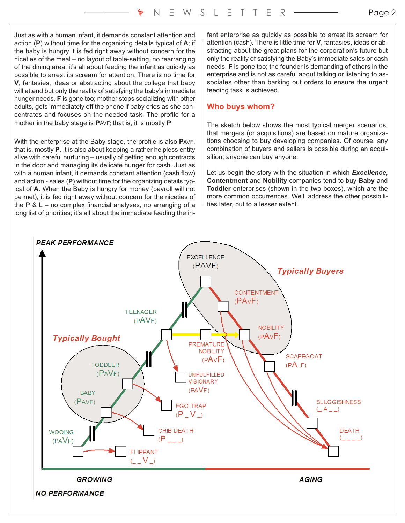Just as with a human infant, it demands constant attention and action (**P**) without time for the organizing details typical of **A**; if the baby is hungry it is fed right away without concern for the niceties of the meal – no layout of table-setting, no rearranging of the dining area; it's all about feeding the infant as quickly as possible to arrest its scream for attention. There is no time for **V**, fantasies, ideas or abstracting about the college that baby will attend but only the reality of satisfying the baby's immediate hunger needs. **F** is gone too; mother stops socializing with other adults, gets immediately off the phone if baby cries as she concentrates and focuses on the needed task. The profile for a mother in the baby stage is **P**AVF; that is, it is mostly **P**.

With the enterprise at the Baby stage, the profile is also **P**AVF, that is, mostly **P**. It is also about keeping a rather helpless entity alive with careful nurturing – usually of getting enough contracts in the door and managing its delicate hunger for cash. Just as with a human infant, it demands constant attention (cash flow) and action - sales (**P**) without time for the organizing details typical of **A**. When the Baby is hungry for money (payroll will not be met), it is fed right away without concern for the niceties of the  $P$  &  $L$  – no complex financial analyses, no arranging of a long list of priorities; it's all about the immediate feeding the infant enterprise as quickly as possible to arrest its scream for attention (cash). There is little time for **V**, fantasies, ideas or abstracting about the great plans for the corporation's future but only the reality of satisfying the Baby's immediate sales or cash needs. **F** is gone too; the founder is demanding of others in the enterprise and is not as careful about talking or listening to associates other than barking out orders to ensure the urgent feeding task is achieved.

#### **Who buys whom?**

The sketch below shows the most typical merger scenarios, that mergers (or acquisitions) are based on mature organizations choosing to buy developing companies. Of course, any combination of buyers and sellers is possible during an acquisition; anyone can buy anyone.

Let us begin the story with the situation in which *Excellence***, Contentment** and **Nobility** companies tend to buy **Baby** and **Toddler** enterprises (shown in the two boxes), which are the more common occurrences. We'll address the other possibilities later, but to a lesser extent.

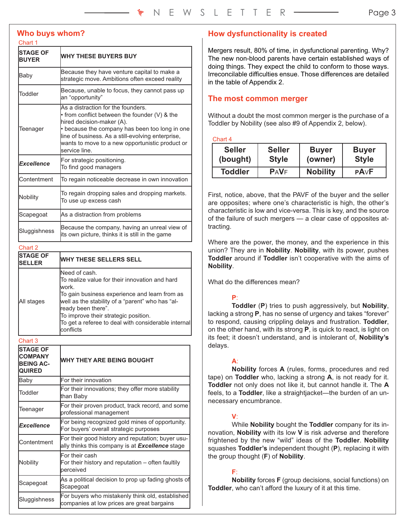#### **Who buys whom?**

#### Chart 1

| <b>STAGE OF</b><br><b>BUYER</b> | <b>WHY THESE BUYERS BUY</b>                                                                                                                                                                                                                                                                       |  |  |  |
|---------------------------------|---------------------------------------------------------------------------------------------------------------------------------------------------------------------------------------------------------------------------------------------------------------------------------------------------|--|--|--|
| Baby                            | Because they have venture capital to make a<br>strategic move. Ambitions often exceed reality                                                                                                                                                                                                     |  |  |  |
| Toddler                         | Because, unable to focus, they cannot pass up<br>an "opportunity"                                                                                                                                                                                                                                 |  |  |  |
| Teenager                        | As a distraction for the founders.<br>$\cdot$ from conflict between the founder (V) & the<br>hired decision-maker (A).<br>• because the company has been too long in one<br>line of business. As a still-evolving enterprise,<br>wants to move to a new opportunistic product or<br>service line. |  |  |  |
| <b>Excellence</b>               | For strategic positioning.<br>To find good managers                                                                                                                                                                                                                                               |  |  |  |
| Contentment                     | To regain noticeable decrease in own innovation                                                                                                                                                                                                                                                   |  |  |  |
| Nobility                        | To regain dropping sales and dropping markets.<br>To use up excess cash                                                                                                                                                                                                                           |  |  |  |
| Scapegoat                       | As a distraction from problems                                                                                                                                                                                                                                                                    |  |  |  |
| Sluggishness                    | Because the company, having an unreal view of<br>its own picture, thinks it is still in the game                                                                                                                                                                                                  |  |  |  |
| Chart 2                         |                                                                                                                                                                                                                                                                                                   |  |  |  |
| <b>STAGE OF</b><br>SFI I FR     | <b>WHY THESE SELLERS SELL</b>                                                                                                                                                                                                                                                                     |  |  |  |

| <b>STAGE OF</b><br><b>ISELLER</b> | <b>WHY THESE SELLERS SELL</b>                                                                                                                                                                                                                                                                                    |
|-----------------------------------|------------------------------------------------------------------------------------------------------------------------------------------------------------------------------------------------------------------------------------------------------------------------------------------------------------------|
| All stages                        | Need of cash.<br>To realize value for their innovation and hard<br>lwork.<br>To gain business experience and learn from as<br>well as the stability of a "parent" who has "al-<br>ready been there".<br>To improve their strategic position.<br>To get a referee to deal with considerable internal<br>confiicts |

Chart 3

| <b>STAGE OF</b><br><b>COMPANY</b><br><b>BEING AC-</b><br><b>QUIRED</b> | <b>WHY THEY ARE BEING BOUGHT</b>                                                                     |  |  |
|------------------------------------------------------------------------|------------------------------------------------------------------------------------------------------|--|--|
| Baby                                                                   | For their innovation                                                                                 |  |  |
| Toddler                                                                | For their innovations; they offer more stability<br>than Baby                                        |  |  |
| Teenager                                                               | For their proven product, track record, and some<br>professional management                          |  |  |
| <b>Excellence</b>                                                      | For being recognized gold mines of opportunity.<br>For buyers' overall strategic purposes            |  |  |
| Contentment                                                            | For their good history and reputation; buyer usu-<br>ally thinks this company is at Excellence stage |  |  |
| Nobility                                                               | For their cash<br>For their history and reputation – often faultily<br>perceived                     |  |  |
| Scapegoat                                                              | As a political decision to prop up fading ghosts of<br>Scapegoat                                     |  |  |
| Sluggishness                                                           | For buyers who mistakenly think old, established<br>companies at low prices are great bargains       |  |  |

#### **How dysfunctionality is created**

Mergers result, 80% of time, in dysfunctional parenting. Why? The new non-blood parents have certain established ways of doing things. They expect the child to conform to those ways. Irreconcilable difficulties ensue. Those differences are detailed in the table of Appendix 2.

#### **The most common merger**

Without a doubt the most common merger is the purchase of a Toddler by Nobility (see also #9 of Appendix 2, below).

Chart 4

| <b>Seller</b>  | <b>Seller</b> | <b>Buyer</b>    | <b>Buyer</b> |
|----------------|---------------|-----------------|--------------|
| (bought)       | <b>Style</b>  | (owner)         | <b>Style</b> |
| <b>Toddler</b> | <b>PAVF</b>   | <b>Nobility</b> | <b>PAVF</b>  |

First, notice, above, that the PAVF of the buyer and the seller are opposites; where one's characteristic is high, the other's characteristic is low and vice-versa. This is key, and the source of the failure of such mergers — a clear case of opposites attracting.

Where are the power, the money, and the experience in this union? They are in **Nobility**. **Nobility**, with its power, pushes **Toddler** around if **Toddler** isn't cooperative with the aims of **Nobility**.

What do the differences mean?

#### **P**:

**Toddler** (**P**) tries to push aggressively, but **Nobility**, lacking a strong **P**, has no sense of urgency and takes "forever" to respond, causing crippling delays and frustration. **Toddler**, on the other hand, with its strong **P**, is quick to react, is light on its feet; it doesn't understand, and is intolerant of, **Nobility's** delays.

#### **A**:

**Nobility** forces **A** (rules, forms, procedures and red tape) on **Toddler** who, lacking a strong **A**, is not ready for it. **Toddler** not only does not like it, but cannot handle it. The **A** feels, to a **Toddler**, like a straightjacket—the burden of an unnecessary encumbrance.

#### **V**:

While **Nobility** bought the **Toddler** company for its innovation, **Nobility** with its low **V** is risk adverse and therefore frightened by the new "wild" ideas of the **Toddler**. **Nobility** squashes **Toddler's** independent thought (**P**), replacing it with the group thought (**F**) of **Nobility**.

#### **F**:

**Nobility** forces **F** (group decisions, social functions) on **Toddler**, who can't afford the luxury of it at this time.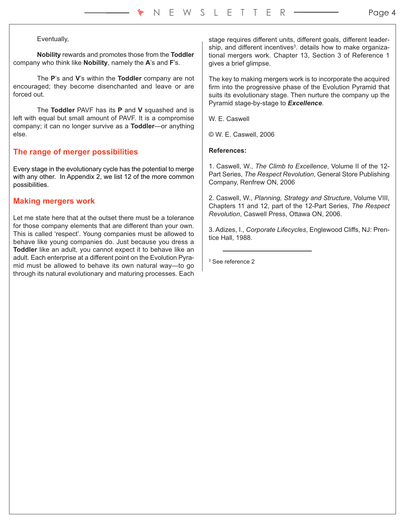#### Eventually,

**Nobility** rewards and promotes those from the **Toddler** company who think like **Nobility**, namely the **A**'s and **F**'s.

The **P**'s and **V**'s within the **Toddler** company are not encouraged; they become disenchanted and leave or are forced out.

The **Toddler** PAVF has its **P** and **V** squashed and is left with equal but small amount of PAVF. It is a compromise company; it can no longer survive as a **Toddler**—or anything else.

#### **The range of merger possibilities**

Every stage in the evolutionary cycle has the potential to merge with any other. In Appendix 2, we list 12 of the more common possibilities.

#### **Making mergers work**

Let me state here that at the outset there must be a tolerance for those company elements that are different than your own. This is called 'respect'. Young companies must be allowed to behave like young companies do. Just because you dress a **Toddler** like an adult, you cannot expect it to behave like an adult. Each enterprise at a different point on the Evolution Pyramid must be allowed to behave its own natural way—to go through its natural evolutionary and maturing processes. Each

stage requires different units, different goals, different leadership, and different incentives<sup>3</sup>. details how to make organizational mergers work. Chapter 13, Section 3 of Reference 1 gives a brief glimpse.

The key to making mergers work is to incorporate the acquired firm into the progressive phase of the Evolution Pyramid that suits its evolutionary stage. Then nurture the company up the Pyramid stage-by-stage to *Excellence*.

W. E. Caswell

© W. E. Caswell, 2006

#### **References:**

1. Caswell, W., *The Climb to Excellence*, Volume II of the 12- Part Series, *The Respect Revolution*, General Store Publishing Company, Renfrew ON, 2006

2. Caswell, W., *Planning, Strategy and Structure*, Volume VIII, Chapters 11 and 12, part of the 12-Part Series, *The Respect Revolution*, Caswell Press, Ottawa ON, 2006.

3. Adizes, I., *Corporate Lifecycles*, Englewood Cliffs, NJ: Prentice Hall, 1988.

<sup>3</sup> See reference 2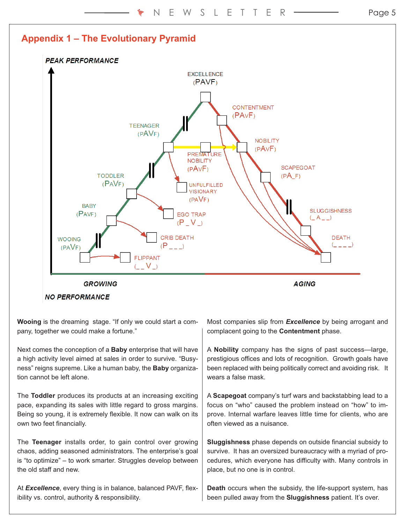

**Wooing** is the dreaming stage. "If only we could start a company, together we could make a fortune."

Next comes the conception of a **Baby** enterprise that will have a high activity level aimed at sales in order to survive. "Busyness" reigns supreme. Like a human baby, the **Baby** organization cannot be left alone.

The **Toddler** produces its products at an increasing exciting pace, expanding its sales with little regard to gross margins. Being so young, it is extremely flexible. It now can walk on its own two feet financially.

The **Teenager** installs order, to gain control over growing chaos, adding seasoned administrators. The enterprise's goal is "to optimize" – to work smarter. Struggles develop between the old staff and new.

At *Excellence*, every thing is in balance, balanced PAVF, flexibility vs. control, authority & responsibility.

Most companies slip from *Excellence* by being arrogant and complacent going to the **Contentment** phase.

A **Nobility** company has the signs of past success—large, prestigious offices and lots of recognition. Growth goals have been replaced with being politically correct and avoiding risk. It wears a false mask

A **Scapegoat** company's turf wars and backstabbing lead to a focus on "who" caused the problem instead on "how" to improve. Internal warfare leaves little time for clients, who are often viewed as a nuisance.

**Sluggishness** phase depends on outside financial subsidy to survive. It has an oversized bureaucracy with a myriad of procedures, which everyone has difficulty with. Many controls in place, but no one is in control.

**Death** occurs when the subsidy, the life-support system, has been pulled away from the **Sluggishness** patient. It's over.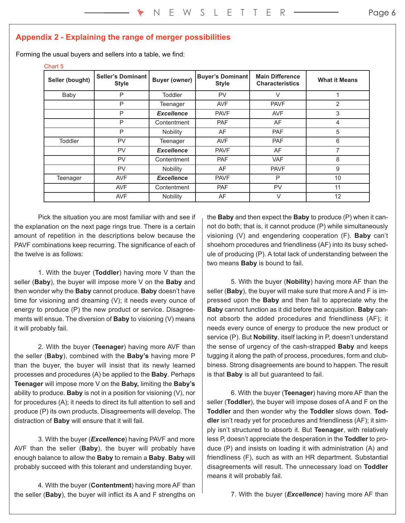## **Appendix 2 - Explaining the range of merger possibilities**

Forming the usual buyers and sellers into a table, we find:

#### Chart 5

| Seller (bought) | <b>Seller's Dominant</b><br><b>Style</b> | <b>Buyer (owner)</b> | <b>Buyer's Dominant</b><br><b>Style</b> | <b>Main Difference</b><br><b>Characteristics</b> | <b>What it Means</b> |
|-----------------|------------------------------------------|----------------------|-----------------------------------------|--------------------------------------------------|----------------------|
| Baby            | P                                        | <b>Toddler</b>       | <b>PV</b>                               | $\vee$                                           |                      |
|                 | P                                        | Teenager             | <b>AVF</b>                              | <b>PAVF</b>                                      | $\overline{2}$       |
|                 | P                                        | <b>Excellence</b>    | <b>PAVF</b>                             | <b>AVF</b>                                       | 3                    |
|                 | P                                        | Contentment          | <b>PAF</b>                              | AF                                               | 4                    |
|                 | P                                        | <b>Nobility</b>      | AF                                      | <b>PAF</b>                                       | 5                    |
| <b>Toddler</b>  | PV                                       | Teenager             | <b>AVF</b>                              | PAF                                              | 6                    |
|                 | PV                                       | <b>Excellence</b>    | <b>PAVF</b>                             | AF                                               | 7                    |
|                 | PV                                       | Contentment          | <b>PAF</b>                              | <b>VAF</b>                                       | 8                    |
|                 | PV                                       | Nobility             | AF                                      | <b>PAVF</b>                                      | 9                    |
| Teenager        | <b>AVF</b>                               | <b>Excellence</b>    | <b>PAVF</b>                             | P                                                | 10                   |
|                 | <b>AVF</b>                               | Contentment          | <b>PAF</b>                              | PV                                               | 11                   |
|                 | AVF                                      | Nobility             | AF                                      | V                                                | 12                   |

Pick the situation you are most familiar with and see if the explanation on the next page rings true. There is a certain amount of repetition in the descriptions below because the PAVF combinations keep recurring. The significance of each of the twelve is as follows:

1. With the buyer (**Toddler**) having more V than the seller (**Baby**), the buyer will impose more V on the **Baby** and then wonder why the **Baby** cannot produce. **Baby** doesn't have time for visioning and dreaming (V); it needs every ounce of energy to produce (P) the new product or service. Disagreements will ensue. The diversion of **Baby** to visioning (V) means it will probably fail.

2. With the buyer (**Teenager**) having more AVF than the seller (**Baby**), combined with the **Baby's** having more P than the buyer, the buyer will insist that its newly learned processes and procedures (A) be applied to the **Baby**. Perhaps **Teenager** will impose more V on the **Baby,** limiting the **Baby's** ability to produce. **Baby** is not in a position for visioning (V), nor for procedures (A); it needs to direct its full attention to sell and produce (P) its own products. Disagreements will develop. The distraction of **Baby** will ensure that it will fail.

3. With the buyer (*Excellence*) having PAVF and more AVF than the seller (**Baby**), the buyer will probably have enough balance to allow the **Baby** to remain a **Baby**. **Baby** will probably succeed with this tolerant and understanding buyer.

4. With the buyer (**Contentment**) having more AF than the seller (**Baby**), the buyer will inflict its A and F strengths on the **Baby** and then expect the **Baby** to produce (P) when it cannot do both; that is, it cannot produce (P) while simultaneously visioning (V) and engendering cooperation (F). **Baby** can't shoehorn procedures and friendliness (AF) into its busy schedule of producing (P). A total lack of understanding between the two means **Baby** is bound to fail.

5. With the buyer (**Nobility**) having more AF than the seller (**Baby**), the buyer will make sure that more A and F is impressed upon the **Baby** and then fail to appreciate why the **Baby** cannot function as it did before the acquisition. **Baby** cannot absorb the added procedures and friendliness (AF); it needs every ounce of energy to produce the new product or service (P). But **Nobility**, itself lacking in P, doesn't understand the sense of urgency of the cash-strapped **Baby** and keeps tugging it along the path of process, procedures, form and clubbiness. Strong disagreements are bound to happen. The result is that **Baby** is all but guaranteed to fail.

6. With the buyer (**Teenager**) having more AF than the seller (**Toddler**), the buyer will impose doses of A and F on the **Toddler** and then wonder why the **Toddler** slows down. **Toddler** isn't ready yet for procedures and friendliness (AF); it simply isn't structured to absorb it. But **Teenager**, with relatively less P, doesn't appreciate the desperation in the **Toddler** to produce (P) and insists on loading it with administration (A) and friendliness (F), such as with an HR department. Substantial disagreements will result. The unnecessary load on **Toddler** means it will probably fail.

7. With the buyer (*Excellence*) having more AF than